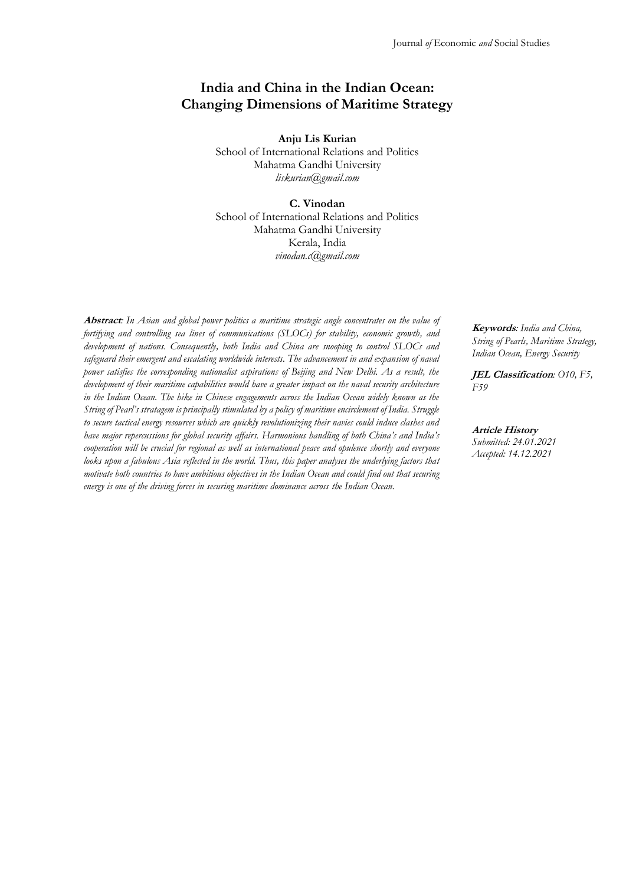# **India and China in the Indian Ocean: Changing Dimensions of Maritime Strategy**

**Anju Lis Kurian** School of International Relations and Politics Mahatma Gandhi University *[liskurian@gmail.com](mailto:liskurian@gmail.com)*

### **C. Vinodan**

School of International Relations and Politics Mahatma Gandhi University Kerala, India *[vinodan.c@gmail.com](mailto:vinodan.c@gmail.com)*

**Abstract***: In Asian and global power politics a maritime strategic angle concentrates on the value of fortifying and controlling sea lines of communications (SLOCs) for stability, economic growth, and development of nations. Consequently, both India and China are snooping to control SLOCs and safeguard their emergent and escalating worldwide interests. The advancement in and expansion of naval power satisfies the corresponding nationalist aspirations of Beijing and New Delhi. As a result, the development of their maritime capabilities would have a greater impact on the naval security architecture in the Indian Ocean. The hike in Chinese engagements across the Indian Ocean widely known as the String of Pearl's stratagem is principally stimulated by a policy of maritime encirclement of India. Struggle to secure tactical energy resources which are quickly revolutionizing their navies could induce clashes and have major repercussions for global security affairs. Harmonious handling of both China's and India's cooperation will be crucial for regional as well as international peace and opulence shortly and everyone looks upon a fabulous Asia reflected in the world. Thus, this paper analyses the underlying factors that motivate both countries to have ambitious objectives in the Indian Ocean and could find out that securing energy is one of the driving forces in securing maritime dominance across the Indian Ocean.*

**Keywords***: India and China, String of Pearls, Maritime Strategy, Indian Ocean, Energy Security*

**JEL Classification***: O10, F5, F59*

**Article History** *Submitted: 24.01.2021 Accepted: 14.12.2021*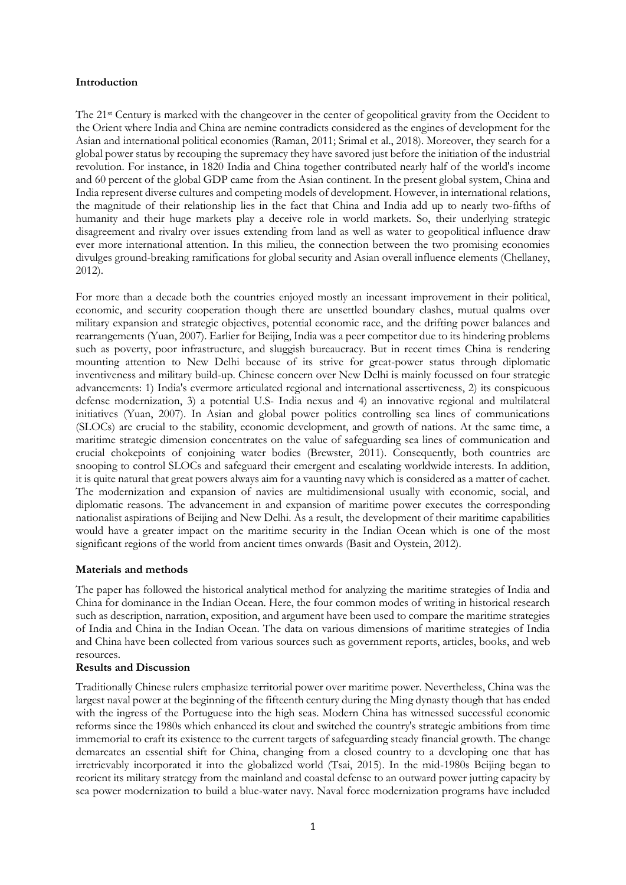### **Introduction**

The 21st Century is marked with the changeover in the center of geopolitical gravity from the Occident to the Orient where India and China are nemine contradicts considered as the engines of development for the Asian and international political economies (Raman, 2011; Srimal et al., 2018). Moreover, they search for a global power status by recouping the supremacy they have savored just before the initiation of the industrial revolution. For instance, in 1820 India and China together contributed nearly half of the world's income and 60 percent of the global GDP came from the Asian continent. In the present global system, China and India represent diverse cultures and competing models of development. However, in international relations, the magnitude of their relationship lies in the fact that China and India add up to nearly two-fifths of humanity and their huge markets play a deceive role in world markets. So, their underlying strategic disagreement and rivalry over issues extending from land as well as water to geopolitical influence draw ever more international attention. In this milieu, the connection between the two promising economies divulges ground-breaking ramifications for global security and Asian overall influence elements (Chellaney, 2012).

For more than a decade both the countries enjoyed mostly an incessant improvement in their political, economic, and security cooperation though there are unsettled boundary clashes, mutual qualms over military expansion and strategic objectives, potential economic race, and the drifting power balances and rearrangements (Yuan, 2007). Earlier for Beijing, India was a peer competitor due to its hindering problems such as poverty, poor infrastructure, and sluggish bureaucracy. But in recent times China is rendering mounting attention to New Delhi because of its strive for great-power status through diplomatic inventiveness and military build-up. Chinese concern over New Delhi is mainly focussed on four strategic advancements: 1) India's evermore articulated regional and international assertiveness, 2) its conspicuous defense modernization, 3) a potential U.S- India nexus and 4) an innovative regional and multilateral initiatives (Yuan, 2007). In Asian and global power politics controlling sea lines of communications (SLOCs) are crucial to the stability, economic development, and growth of nations. At the same time, a maritime strategic dimension concentrates on the value of safeguarding sea lines of communication and crucial chokepoints of conjoining water bodies (Brewster, 2011). Consequently, both countries are snooping to control SLOCs and safeguard their emergent and escalating worldwide interests. In addition, it is quite natural that great powers always aim for a vaunting navy which is considered as a matter of cachet. The modernization and expansion of navies are multidimensional usually with economic, social, and diplomatic reasons. The advancement in and expansion of maritime power executes the corresponding nationalist aspirations of Beijing and New Delhi. As a result, the development of their maritime capabilities would have a greater impact on the maritime security in the Indian Ocean which is one of the most significant regions of the world from ancient times onwards (Basit and Oystein, 2012).

## **Materials and methods**

The paper has followed the historical analytical method for analyzing the maritime strategies of India and China for dominance in the Indian Ocean. Here, the four common modes of writing in historical research such as description, narration, exposition, and argument have been used to compare the maritime strategies of India and China in the Indian Ocean. The data on various dimensions of maritime strategies of India and China have been collected from various sources such as government reports, articles, books, and web resources.

# **Results and Discussion**

Traditionally Chinese rulers emphasize territorial power over maritime power. Nevertheless, China was the largest naval power at the beginning of the fifteenth century during the Ming dynasty though that has ended with the ingress of the Portuguese into the high seas. Modern China has witnessed successful economic reforms since the 1980s which enhanced its clout and switched the country's strategic ambitions from time immemorial to craft its existence to the current targets of safeguarding steady financial growth. The change demarcates an essential shift for China, changing from a closed country to a developing one that has irretrievably incorporated it into the globalized world (Tsai, 2015). In the mid-1980s Beijing began to reorient its military strategy from the mainland and coastal defense to an outward power jutting capacity by sea power modernization to build a blue-water navy. Naval force modernization programs have included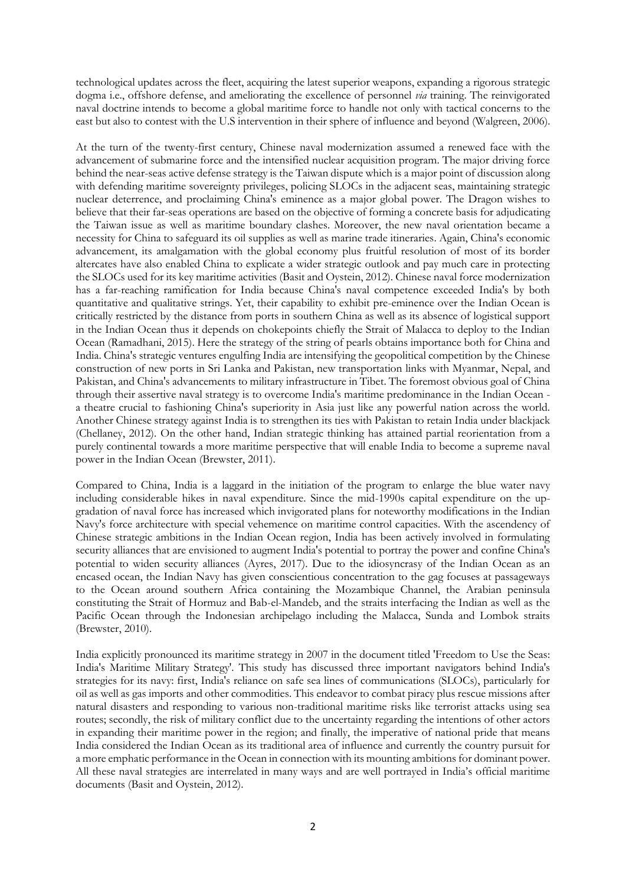technological updates across the fleet, acquiring the latest superior weapons, expanding a rigorous strategic dogma i.e., offshore defense, and ameliorating the excellence of personnel *via* training. The reinvigorated naval doctrine intends to become a global maritime force to handle not only with tactical concerns to the east but also to contest with the U.S intervention in their sphere of influence and beyond (Walgreen, 2006).

At the turn of the twenty-first century, Chinese naval modernization assumed a renewed face with the advancement of submarine force and the intensified nuclear acquisition program. The major driving force behind the near-seas active defense strategy is the Taiwan dispute which is a major point of discussion along with defending maritime sovereignty privileges, policing SLOCs in the adjacent seas, maintaining strategic nuclear deterrence, and proclaiming China's eminence as a major global power. The Dragon wishes to believe that their far-seas operations are based on the objective of forming a concrete basis for adjudicating the Taiwan issue as well as maritime boundary clashes. Moreover, the new naval orientation became a necessity for China to safeguard its oil supplies as well as marine trade itineraries. Again, China's economic advancement, its amalgamation with the global economy plus fruitful resolution of most of its border altercates have also enabled China to explicate a wider strategic outlook and pay much care in protecting the SLOCs used for its key maritime activities (Basit and Oystein, 2012). Chinese naval force modernization has a far-reaching ramification for India because China's naval competence exceeded India's by both quantitative and qualitative strings. Yet, their capability to exhibit pre-eminence over the Indian Ocean is critically restricted by the distance from ports in southern China as well as its absence of logistical support in the Indian Ocean thus it depends on chokepoints chiefly the Strait of Malacca to deploy to the Indian Ocean (Ramadhani, 2015). Here the strategy of the string of pearls obtains importance both for China and India. China's strategic ventures engulfing India are intensifying the geopolitical competition by the Chinese construction of new ports in Sri Lanka and Pakistan, new transportation links with Myanmar, Nepal, and Pakistan, and China's advancements to military infrastructure in Tibet. The foremost obvious goal of China through their assertive naval strategy is to overcome India's maritime predominance in the Indian Ocean a theatre crucial to fashioning China's superiority in Asia just like any powerful nation across the world. Another Chinese strategy against India is to strengthen its ties with Pakistan to retain India under blackjack (Chellaney, 2012). On the other hand, Indian strategic thinking has attained partial reorientation from a purely continental towards a more maritime perspective that will enable India to become a supreme naval power in the Indian Ocean (Brewster, 2011).

Compared to China, India is a laggard in the initiation of the program to enlarge the blue water navy including considerable hikes in naval expenditure. Since the mid-1990s capital expenditure on the upgradation of naval force has increased which invigorated plans for noteworthy modifications in the Indian Navy's force architecture with special vehemence on maritime control capacities. With the ascendency of Chinese strategic ambitions in the Indian Ocean region, India has been actively involved in formulating security alliances that are envisioned to augment India's potential to portray the power and confine China's potential to widen security alliances (Ayres, 2017). Due to the idiosyncrasy of the Indian Ocean as an encased ocean, the Indian Navy has given conscientious concentration to the gag focuses at passageways to the Ocean around southern Africa containing the Mozambique Channel, the Arabian peninsula constituting the Strait of Hormuz and Bab-el-Mandeb, and the straits interfacing the Indian as well as the Pacific Ocean through the Indonesian archipelago including the Malacca, Sunda and Lombok straits (Brewster, 2010).

India explicitly pronounced its maritime strategy in 2007 in the document titled 'Freedom to Use the Seas: India's Maritime Military Strategy'. This study has discussed three important navigators behind India's strategies for its navy: first, India's reliance on safe sea lines of communications (SLOCs), particularly for oil as well as gas imports and other commodities. This endeavor to combat piracy plus rescue missions after natural disasters and responding to various non-traditional maritime risks like terrorist attacks using sea routes; secondly, the risk of military conflict due to the uncertainty regarding the intentions of other actors in expanding their maritime power in the region; and finally, the imperative of national pride that means India considered the Indian Ocean as its traditional area of influence and currently the country pursuit for a more emphatic performance in the Ocean in connection with its mounting ambitions for dominant power. All these naval strategies are interrelated in many ways and are well portrayed in India's official maritime documents (Basit and Oystein, 2012).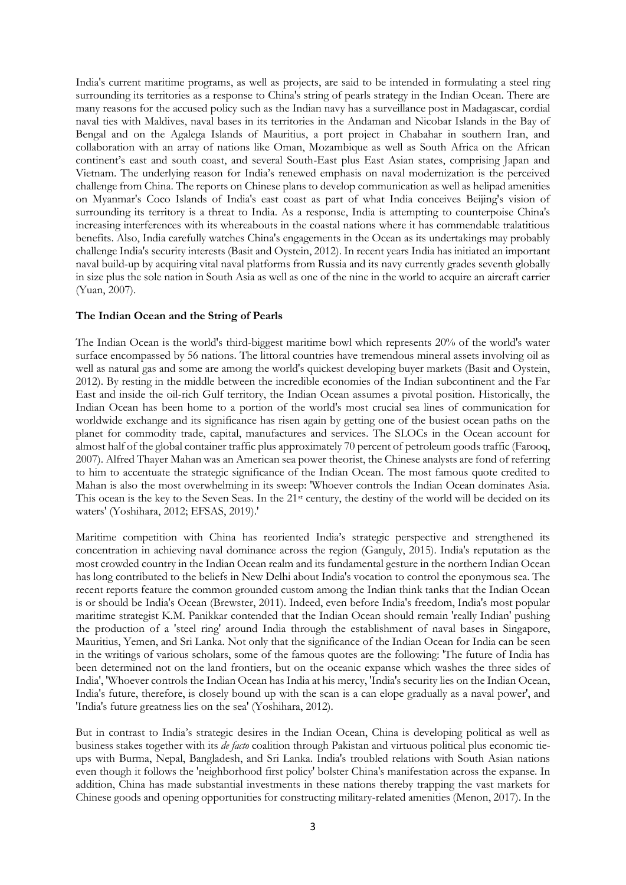India's current maritime programs, as well as projects, are said to be intended in formulating a steel ring surrounding its territories as a response to China's string of pearls strategy in the Indian Ocean. There are many reasons for the accused policy such as the Indian navy has a surveillance post in Madagascar, cordial naval ties with Maldives, naval bases in its territories in the Andaman and Nicobar Islands in the Bay of Bengal and on the Agalega Islands of Mauritius, a port project in Chabahar in southern Iran, and collaboration with an array of nations like Oman, Mozambique as well as South Africa on the African continent's east and south coast, and several South-East plus East Asian states, comprising Japan and Vietnam. The underlying reason for India's renewed emphasis on naval modernization is the perceived challenge from China. The reports on Chinese plans to develop communication as well as helipad amenities on Myanmar's Coco Islands of India's east coast as part of what India conceives Beijing's vision of surrounding its territory is a threat to India. As a response, India is attempting to counterpoise China's increasing interferences with its whereabouts in the coastal nations where it has commendable tralatitious benefits. Also, India carefully watches China's engagements in the Ocean as its undertakings may probably challenge India's security interests (Basit and Oystein, 2012). In recent years India has initiated an important naval build-up by acquiring vital naval platforms from Russia and its navy currently grades seventh globally in size plus the sole nation in South Asia as well as one of the nine in the world to acquire an aircraft carrier (Yuan, 2007).

### **The Indian Ocean and the String of Pearls**

The Indian Ocean is the world's third-biggest maritime bowl which represents 20% of the world's water surface encompassed by 56 nations. The littoral countries have tremendous mineral assets involving oil as well as natural gas and some are among the world's quickest developing buyer markets (Basit and Oystein, 2012). By resting in the middle between the incredible economies of the Indian subcontinent and the Far East and inside the oil-rich Gulf territory, the Indian Ocean assumes a pivotal position. Historically, the Indian Ocean has been home to a portion of the world's most crucial sea lines of communication for worldwide exchange and its significance has risen again by getting one of the busiest ocean paths on the planet for commodity trade, capital, manufactures and services. The SLOCs in the Ocean account for almost half of the global container traffic plus approximately 70 percent of petroleum goods traffic (Farooq, 2007). Alfred Thayer Mahan was an American sea power theorist, the Chinese analysts are fond of referring to him to accentuate the strategic significance of the Indian Ocean. The most famous quote credited to Mahan is also the most overwhelming in its sweep: 'Whoever controls the Indian Ocean dominates Asia. This ocean is the key to the Seven Seas. In the 21st century, the destiny of the world will be decided on its waters' (Yoshihara, 2012; EFSAS, 2019).'

Maritime competition with China has reoriented India's strategic perspective and strengthened its concentration in achieving naval dominance across the region (Ganguly, 2015). India's reputation as the most crowded country in the Indian Ocean realm and its fundamental gesture in the northern Indian Ocean has long contributed to the beliefs in New Delhi about India's vocation to control the eponymous sea. The recent reports feature the common grounded custom among the Indian think tanks that the Indian Ocean is or should be India's Ocean (Brewster, 2011). Indeed, even before India's freedom, India's most popular maritime strategist K.M. Panikkar contended that the Indian Ocean should remain 'really Indian' pushing the production of a 'steel ring' around India through the establishment of naval bases in Singapore, Mauritius, Yemen, and Sri Lanka. Not only that the significance of the Indian Ocean for India can be seen in the writings of various scholars, some of the famous quotes are the following: 'The future of India has been determined not on the land frontiers, but on the oceanic expanse which washes the three sides of India', 'Whoever controls the Indian Ocean has India at his mercy, 'India's security lies on the Indian Ocean, India's future, therefore, is closely bound up with the scan is a can elope gradually as a naval power', and 'India's future greatness lies on the sea' (Yoshihara, 2012).

But in contrast to India's strategic desires in the Indian Ocean, China is developing political as well as business stakes together with its *de facto* coalition through Pakistan and virtuous political plus economic tieups with Burma, Nepal, Bangladesh, and Sri Lanka. India's troubled relations with South Asian nations even though it follows the 'neighborhood first policy' bolster China's manifestation across the expanse. In addition, China has made substantial investments in these nations thereby trapping the vast markets for Chinese goods and opening opportunities for constructing military-related amenities (Menon, 2017). In the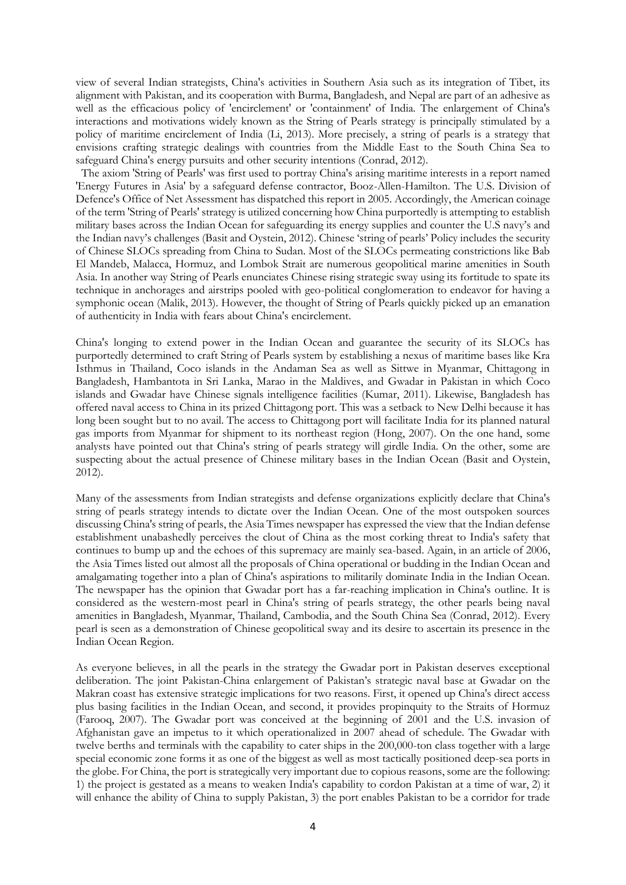view of several Indian strategists, China's activities in Southern Asia such as its integration of Tibet, its alignment with Pakistan, and its cooperation with Burma, Bangladesh, and Nepal are part of an adhesive as well as the efficacious policy of 'encirclement' or 'containment' of India. The enlargement of China's interactions and motivations widely known as the String of Pearls strategy is principally stimulated by a policy of maritime encirclement of India (Li, 2013). More precisely, a string of pearls is a strategy that envisions crafting strategic dealings with countries from the Middle East to the South China Sea to safeguard China's energy pursuits and other security intentions (Conrad, 2012).

 The axiom 'String of Pearls' was first used to portray China's arising maritime interests in a report named 'Energy Futures in Asia' by a safeguard defense contractor, Booz-Allen-Hamilton. The U.S. Division of Defence's Office of Net Assessment has dispatched this report in 2005. Accordingly, the American coinage of the term 'String of Pearls' strategy is utilized concerning how China purportedly is attempting to establish military bases across the Indian Ocean for safeguarding its energy supplies and counter the U.S navy's and the Indian navy's challenges (Basit and Oystein, 2012). Chinese 'string of pearls' Policy includes the security of Chinese SLOCs spreading from China to Sudan. Most of the SLOCs permeating constrictions like Bab El Mandeb, Malacca, Hormuz, and Lombok Strait are numerous geopolitical marine amenities in South Asia. In another way String of Pearls enunciates Chinese rising strategic sway using its fortitude to spate its technique in anchorages and airstrips pooled with geo-political conglomeration to endeavor for having a symphonic ocean (Malik, 2013). However, the thought of String of Pearls quickly picked up an emanation of authenticity in India with fears about China's encirclement.

China's longing to extend power in the Indian Ocean and guarantee the security of its SLOCs has purportedly determined to craft String of Pearls system by establishing a nexus of maritime bases like Kra Isthmus in Thailand, Coco islands in the Andaman Sea as well as Sittwe in Myanmar, Chittagong in Bangladesh, Hambantota in Sri Lanka, Marao in the Maldives, and Gwadar in Pakistan in which Coco islands and Gwadar have Chinese signals intelligence facilities (Kumar, 2011). Likewise, Bangladesh has offered naval access to China in its prized Chittagong port. This was a setback to New Delhi because it has long been sought but to no avail. The access to Chittagong port will facilitate India for its planned natural gas imports from Myanmar for shipment to its northeast region (Hong, 2007). On the one hand, some analysts have pointed out that China's string of pearls strategy will girdle India. On the other, some are suspecting about the actual presence of Chinese military bases in the Indian Ocean (Basit and Oystein, 2012).

Many of the assessments from Indian strategists and defense organizations explicitly declare that China's string of pearls strategy intends to dictate over the Indian Ocean. One of the most outspoken sources discussing China's string of pearls, the Asia Times newspaper has expressed the view that the Indian defense establishment unabashedly perceives the clout of China as the most corking threat to India's safety that continues to bump up and the echoes of this supremacy are mainly sea-based. Again, in an article of 2006, the Asia Times listed out almost all the proposals of China operational or budding in the Indian Ocean and amalgamating together into a plan of China's aspirations to militarily dominate India in the Indian Ocean. The newspaper has the opinion that Gwadar port has a far-reaching implication in China's outline. It is considered as the western-most pearl in China's string of pearls strategy, the other pearls being naval amenities in Bangladesh, Myanmar, Thailand, Cambodia, and the South China Sea (Conrad, 2012). Every pearl is seen as a demonstration of Chinese geopolitical sway and its desire to ascertain its presence in the Indian Ocean Region.

As everyone believes, in all the pearls in the strategy the Gwadar port in Pakistan deserves exceptional deliberation. The joint Pakistan-China enlargement of Pakistan's strategic naval base at Gwadar on the Makran coast has extensive strategic implications for two reasons. First, it opened up China's direct access plus basing facilities in the Indian Ocean, and second, it provides propinquity to the Straits of Hormuz (Farooq, 2007). The Gwadar port was conceived at the beginning of 2001 and the U.S. invasion of Afghanistan gave an impetus to it which operationalized in 2007 ahead of schedule. The Gwadar with twelve berths and terminals with the capability to cater ships in the 200,000-ton class together with a large special economic zone forms it as one of the biggest as well as most tactically positioned deep-sea ports in the globe. For China, the port is strategically very important due to copious reasons, some are the following: 1) the project is gestated as a means to weaken India's capability to cordon Pakistan at a time of war, 2) it will enhance the ability of China to supply Pakistan, 3) the port enables Pakistan to be a corridor for trade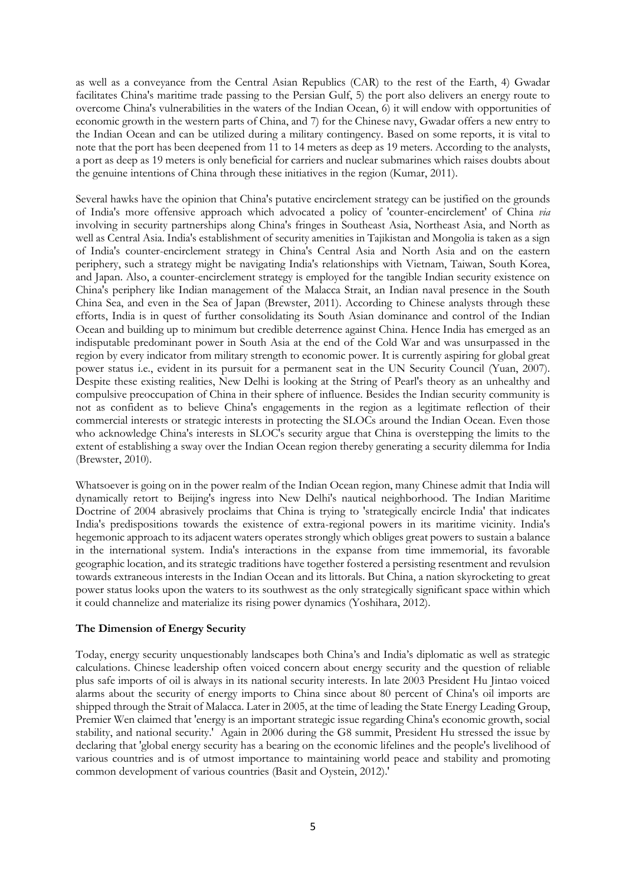as well as a conveyance from the Central Asian Republics (CAR) to the rest of the Earth, 4) Gwadar facilitates China's maritime trade passing to the Persian Gulf, 5) the port also delivers an energy route to overcome China's vulnerabilities in the waters of the Indian Ocean, 6) it will endow with opportunities of economic growth in the western parts of China, and 7) for the Chinese navy, Gwadar offers a new entry to the Indian Ocean and can be utilized during a military contingency. Based on some reports, it is vital to note that the port has been deepened from 11 to 14 meters as deep as 19 meters. According to the analysts, a port as deep as 19 meters is only beneficial for carriers and nuclear submarines which raises doubts about the genuine intentions of China through these initiatives in the region (Kumar, 2011).

Several hawks have the opinion that China's putative encirclement strategy can be justified on the grounds of India's more offensive approach which advocated a policy of 'counter-encirclement' of China *via* involving in security partnerships along China's fringes in Southeast Asia, Northeast Asia, and North as well as Central Asia. India's establishment of security amenities in Tajikistan and Mongolia is taken as a sign of India's counter-encirclement strategy in China's Central Asia and North Asia and on the eastern periphery, such a strategy might be navigating India's relationships with Vietnam, Taiwan, South Korea, and Japan. Also, a counter-encirclement strategy is employed for the tangible Indian security existence on China's periphery like Indian management of the Malacca Strait, an Indian naval presence in the South China Sea, and even in the Sea of Japan (Brewster, 2011). According to Chinese analysts through these efforts, India is in quest of further consolidating its South Asian dominance and control of the Indian Ocean and building up to minimum but credible deterrence against China. Hence India has emerged as an indisputable predominant power in South Asia at the end of the Cold War and was unsurpassed in the region by every indicator from military strength to economic power. It is currently aspiring for global great power status i.e., evident in its pursuit for a permanent seat in the UN Security Council (Yuan, 2007). Despite these existing realities, New Delhi is looking at the String of Pearl's theory as an unhealthy and compulsive preoccupation of China in their sphere of influence. Besides the Indian security community is not as confident as to believe China's engagements in the region as a legitimate reflection of their commercial interests or strategic interests in protecting the SLOCs around the Indian Ocean. Even those who acknowledge China's interests in SLOC's security argue that China is overstepping the limits to the extent of establishing a sway over the Indian Ocean region thereby generating a security dilemma for India (Brewster, 2010).

Whatsoever is going on in the power realm of the Indian Ocean region, many Chinese admit that India will dynamically retort to Beijing's ingress into New Delhi's nautical neighborhood. The Indian Maritime Doctrine of 2004 abrasively proclaims that China is trying to 'strategically encircle India' that indicates India's predispositions towards the existence of extra-regional powers in its maritime vicinity. India's hegemonic approach to its adjacent waters operates strongly which obliges great powers to sustain a balance in the international system. India's interactions in the expanse from time immemorial, its favorable geographic location, and its strategic traditions have together fostered a persisting resentment and revulsion towards extraneous interests in the Indian Ocean and its littorals. But China, a nation skyrocketing to great power status looks upon the waters to its southwest as the only strategically significant space within which it could channelize and materialize its rising power dynamics (Yoshihara, 2012).

## **The Dimension of Energy Security**

Today, energy security unquestionably landscapes both China's and India's diplomatic as well as strategic calculations. Chinese leadership often voiced concern about energy security and the question of reliable plus safe imports of oil is always in its national security interests. In late 2003 President Hu Jintao voiced alarms about the security of energy imports to China since about 80 percent of China's oil imports are shipped through the Strait of Malacca. Later in 2005, at the time of leading the State Energy Leading Group, Premier Wen claimed that 'energy is an important strategic issue regarding China's economic growth, social stability, and national security.' Again in 2006 during the G8 summit, President Hu stressed the issue by declaring that 'global energy security has a bearing on the economic lifelines and the people's livelihood of various countries and is of utmost importance to maintaining world peace and stability and promoting common development of various countries (Basit and Oystein, 2012).'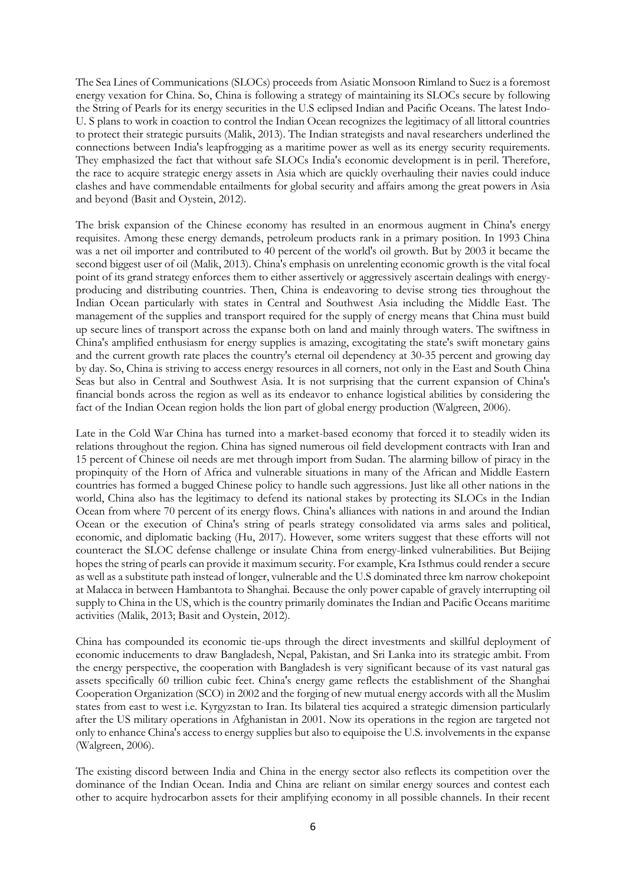The Sea Lines of Communications (SLOCs) proceeds from Asiatic Monsoon Rimland to Suez is a foremost energy vexation for China. So, China is following a strategy of maintaining its SLOCs secure by following the String of Pearls for its energy securities in the U.S eclipsed Indian and Pacific Oceans. The latest Indo-U. S plans to work in coaction to control the Indian Ocean recognizes the legitimacy of all littoral countries to protect their strategic pursuits (Malik, 2013). The Indian strategists and naval researchers underlined the connections between India's leapfrogging as a maritime power as well as its energy security requirements. They emphasized the fact that without safe SLOCs India's economic development is in peril. Therefore, the race to acquire strategic energy assets in Asia which are quickly overhauling their navies could induce clashes and have commendable entailments for global security and affairs among the great powers in Asia and beyond (Basit and Oystein, 2012).

The brisk expansion of the Chinese economy has resulted in an enormous augment in China's energy requisites. Among these energy demands, petroleum products rank in a primary position. In 1993 China was a net oil importer and contributed to 40 percent of the world's oil growth. But by 2003 it became the second biggest user of oil (Malik, 2013). China's emphasis on unrelenting economic growth is the vital focal point of its grand strategy enforces them to either assertively or aggressively ascertain dealings with energyproducing and distributing countries. Then, China is endeavoring to devise strong ties throughout the Indian Ocean particularly with states in Central and Southwest Asia including the Middle East. The management of the supplies and transport required for the supply of energy means that China must build up secure lines of transport across the expanse both on land and mainly through waters. The swiftness in China's amplified enthusiasm for energy supplies is amazing, excogitating the state's swift monetary gains and the current growth rate places the country's eternal oil dependency at 30-35 percent and growing day by day. So, China is striving to access energy resources in all corners, not only in the East and South China Seas but also in Central and Southwest Asia. It is not surprising that the current expansion of China's financial bonds across the region as well as its endeavor to enhance logistical abilities by considering the fact of the Indian Ocean region holds the lion part of global energy production (Walgreen, 2006).

Late in the Cold War China has turned into a market-based economy that forced it to steadily widen its relations throughout the region. China has signed numerous oil field development contracts with Iran and 15 percent of Chinese oil needs are met through import from Sudan. The alarming billow of piracy in the propinquity of the Horn of Africa and vulnerable situations in many of the African and Middle Eastern countries has formed a bugged Chinese policy to handle such aggressions. Just like all other nations in the world, China also has the legitimacy to defend its national stakes by protecting its SLOCs in the Indian Ocean from where 70 percent of its energy flows. China's alliances with nations in and around the Indian Ocean or the execution of China's string of pearls strategy consolidated via arms sales and political, economic, and diplomatic backing (Hu, 2017). However, some writers suggest that these efforts will not counteract the SLOC defense challenge or insulate China from energy-linked vulnerabilities. But Beijing hopes the string of pearls can provide it maximum security. For example, Kra Isthmus could render a secure as well as a substitute path instead of longer, vulnerable and the U.S dominated three km narrow chokepoint at Malacca in between Hambantota to Shanghai. Because the only power capable of gravely interrupting oil supply to China in the US, which is the country primarily dominates the Indian and Pacific Oceans maritime activities (Malik, 2013; Basit and Oystein, 2012).

China has compounded its economic tie-ups through the direct investments and skillful deployment of economic inducements to draw Bangladesh, Nepal, Pakistan, and Sri Lanka into its strategic ambit. From the energy perspective, the cooperation with Bangladesh is very significant because of its vast natural gas assets specifically 60 trillion cubic feet. China's energy game reflects the establishment of the Shanghai Cooperation Organization (SCO) in 2002 and the forging of new mutual energy accords with all the Muslim states from east to west i.e. Kyrgyzstan to Iran. Its bilateral ties acquired a strategic dimension particularly after the US military operations in Afghanistan in 2001. Now its operations in the region are targeted not only to enhance China's access to energy supplies but also to equipoise the U.S. involvements in the expanse (Walgreen, 2006).

The existing discord between India and China in the energy sector also reflects its competition over the dominance of the Indian Ocean. India and China are reliant on similar energy sources and contest each other to acquire hydrocarbon assets for their amplifying economy in all possible channels. In their recent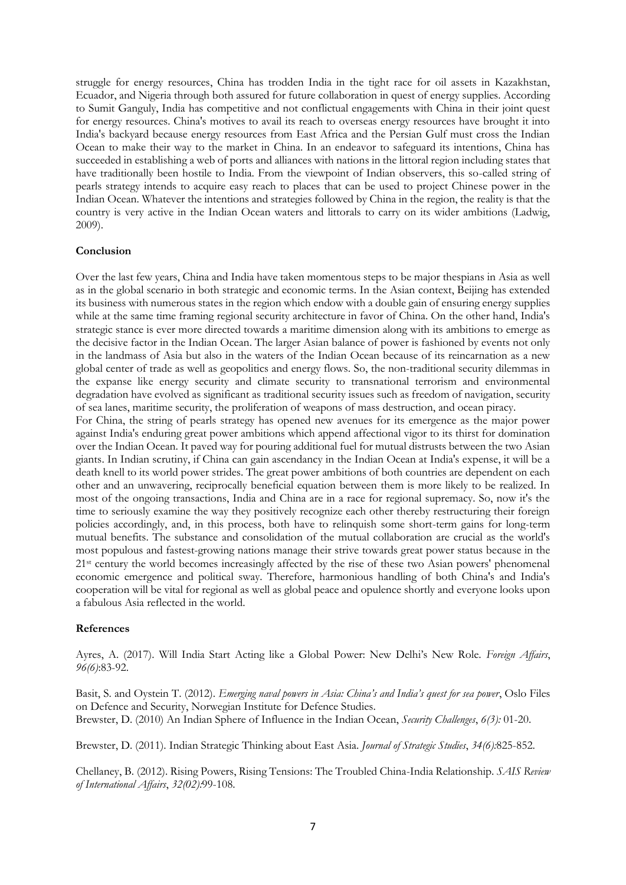struggle for energy resources, China has trodden India in the tight race for oil assets in Kazakhstan, Ecuador, and Nigeria through both assured for future collaboration in quest of energy supplies. According to Sumit Ganguly, India has competitive and not conflictual engagements with China in their joint quest for energy resources. China's motives to avail its reach to overseas energy resources have brought it into India's backyard because energy resources from East Africa and the Persian Gulf must cross the Indian Ocean to make their way to the market in China. In an endeavor to safeguard its intentions, China has succeeded in establishing a web of ports and alliances with nations in the littoral region including states that have traditionally been hostile to India. From the viewpoint of Indian observers, this so-called string of pearls strategy intends to acquire easy reach to places that can be used to project Chinese power in the Indian Ocean. Whatever the intentions and strategies followed by China in the region, the reality is that the country is very active in the Indian Ocean waters and littorals to carry on its wider ambitions (Ladwig, 2009).

### **Conclusion**

Over the last few years, China and India have taken momentous steps to be major thespians in Asia as well as in the global scenario in both strategic and economic terms. In the Asian context, Beijing has extended its business with numerous states in the region which endow with a double gain of ensuring energy supplies while at the same time framing regional security architecture in favor of China. On the other hand, India's strategic stance is ever more directed towards a maritime dimension along with its ambitions to emerge as the decisive factor in the Indian Ocean. The larger Asian balance of power is fashioned by events not only in the landmass of Asia but also in the waters of the Indian Ocean because of its reincarnation as a new global center of trade as well as geopolitics and energy flows. So, the non-traditional security dilemmas in the expanse like energy security and climate security to transnational terrorism and environmental degradation have evolved as significant as traditional security issues such as freedom of navigation, security of sea lanes, maritime security, the proliferation of weapons of mass destruction, and ocean piracy.

For China, the string of pearls strategy has opened new avenues for its emergence as the major power against India's enduring great power ambitions which append affectional vigor to its thirst for domination over the Indian Ocean. It paved way for pouring additional fuel for mutual distrusts between the two Asian giants. In Indian scrutiny, if China can gain ascendancy in the Indian Ocean at India's expense, it will be a death knell to its world power strides. The great power ambitions of both countries are dependent on each other and an unwavering, reciprocally beneficial equation between them is more likely to be realized. In most of the ongoing transactions, India and China are in a race for regional supremacy. So, now it's the time to seriously examine the way they positively recognize each other thereby restructuring their foreign policies accordingly, and, in this process, both have to relinquish some short-term gains for long-term mutual benefits. The substance and consolidation of the mutual collaboration are crucial as the world's most populous and fastest-growing nations manage their strive towards great power status because in the 21st century the world becomes increasingly affected by the rise of these two Asian powers' phenomenal economic emergence and political sway. Therefore, harmonious handling of both China's and India's cooperation will be vital for regional as well as global peace and opulence shortly and everyone looks upon a fabulous Asia reflected in the world.

### **References**

Ayres, A. (2017). Will India Start Acting like a Global Power: New Delhi's New Role. *Foreign Affairs*, *96(6)*:83-92.

Basit, S. and Oystein T. (2012). *Emerging naval powers in Asia: China's and India's quest for sea power*, Oslo Files on Defence and Security, Norwegian Institute for Defence Studies. Brewster, D. (2010) An Indian Sphere of Influence in the Indian Ocean, *Security Challenges*, *6(3):* 01-20.

Brewster, D. (2011). Indian Strategic Thinking about East Asia. *Journal of Strategic Studies*, *34(6):*825-852.

Chellaney, B. (2012). Rising Powers, Rising Tensions: The Troubled China-India Relationship. *SAIS Review of International Affairs*, *32(02):*99-108.